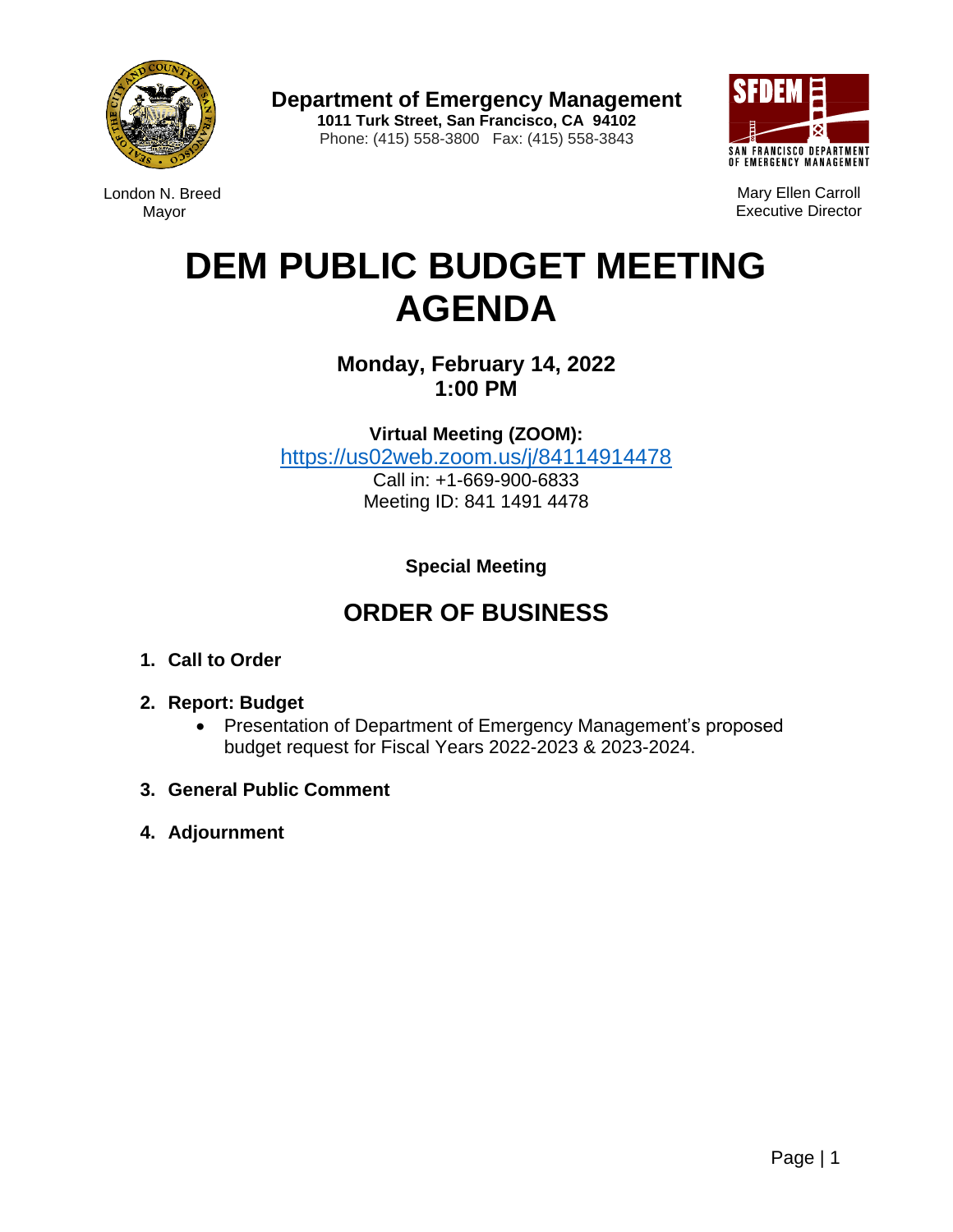

London N. Breed Mayor

**Department of Emergency Management 1011 Turk Street, San Francisco, CA 94102** Phone: (415) 558-3800 Fax: (415) 558-3843



Mary Ellen Carroll Executive Director

# **DEM PUBLIC BUDGET MEETING AGENDA**

**Monday, February 14, 2022 1:00 PM**

**Virtual Meeting (ZOOM):**  [https://us02web.zoom.us/j/84114914478](https://gcc02.safelinks.protection.outlook.com/?url=https%3A%2F%2Fus02web.zoom.us%2Fj%2F84114914478&data=04%7C01%7Cwilliam.lee%40sfgov.org%7C5b16339306554118139d08d9e2a9b88a%7C22d5c2cfce3e443d9a7fdfcc0231f73f%7C0%7C0%7C637790040831754346%7CUnknown%7CTWFpbGZsb3d8eyJWIjoiMC4wLjAwMDAiLCJQIjoiV2luMzIiLCJBTiI6Ik1haWwiLCJXVCI6Mn0%3D%7C3000&sdata=tSrT2J92iQflNmhjsHPZHfkR5dYEykjRaR4N9CsbqHU%3D&reserved=0) Call in: +1-669-900-6833 Meeting ID: 841 1491 4478

**Special Meeting**

# **ORDER OF BUSINESS**

- **1. Call to Order**
- **2. Report: Budget**
	- Presentation of Department of Emergency Management's proposed budget request for Fiscal Years 2022-2023 & 2023-2024.
- **3. General Public Comment**
- **4. Adjournment**